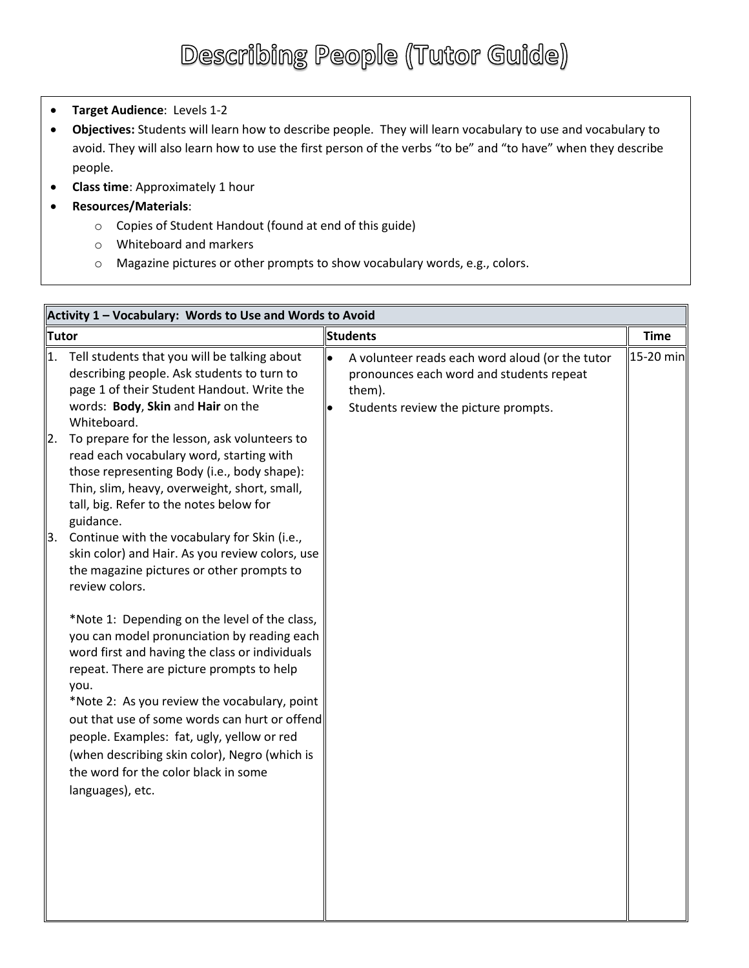- **Target Audience**: Levels 1-2
- **Objectives:** Students will learn how to describe people. They will learn vocabulary to use and vocabulary to avoid. They will also learn how to use the first person of the verbs "to be" and "to have" when they describe people.
- **Class time**: Approximately 1 hour
- **Resources/Materials**:
	- o Copies of Student Handout (found at end of this guide)
	- o Whiteboard and markers
	- o Magazine pictures or other prompts to show vocabulary words, e.g., colors.

| Activity 1 - Vocabulary: Words to Use and Words to Avoid |                                                                                                                                                                                                                                                                                                                                                                                                                                                                                                                                                    |                 |                                                                                                                                               |             |  |  |
|----------------------------------------------------------|----------------------------------------------------------------------------------------------------------------------------------------------------------------------------------------------------------------------------------------------------------------------------------------------------------------------------------------------------------------------------------------------------------------------------------------------------------------------------------------------------------------------------------------------------|-----------------|-----------------------------------------------------------------------------------------------------------------------------------------------|-------------|--|--|
| <b>Tutor</b>                                             |                                                                                                                                                                                                                                                                                                                                                                                                                                                                                                                                                    | <b>Students</b> |                                                                                                                                               | <b>Time</b> |  |  |
| 1.<br>2.<br>3.                                           | Tell students that you will be talking about<br>describing people. Ask students to turn to<br>page 1 of their Student Handout. Write the<br>words: Body, Skin and Hair on the<br>Whiteboard.<br>To prepare for the lesson, ask volunteers to<br>read each vocabulary word, starting with<br>those representing Body (i.e., body shape):<br>Thin, slim, heavy, overweight, short, small,<br>tall, big. Refer to the notes below for<br>guidance.<br>Continue with the vocabulary for Skin (i.e.,<br>skin color) and Hair. As you review colors, use | $\bullet$       | A volunteer reads each word aloud (or the tutor<br>pronounces each word and students repeat<br>them).<br>Students review the picture prompts. | 15-20 min   |  |  |
|                                                          | the magazine pictures or other prompts to<br>review colors.<br>*Note 1: Depending on the level of the class,<br>you can model pronunciation by reading each<br>word first and having the class or individuals<br>repeat. There are picture prompts to help<br>you.<br>*Note 2: As you review the vocabulary, point<br>out that use of some words can hurt or offend<br>people. Examples: fat, ugly, yellow or red<br>(when describing skin color), Negro (which is<br>the word for the color black in some<br>languages), etc.                     |                 |                                                                                                                                               |             |  |  |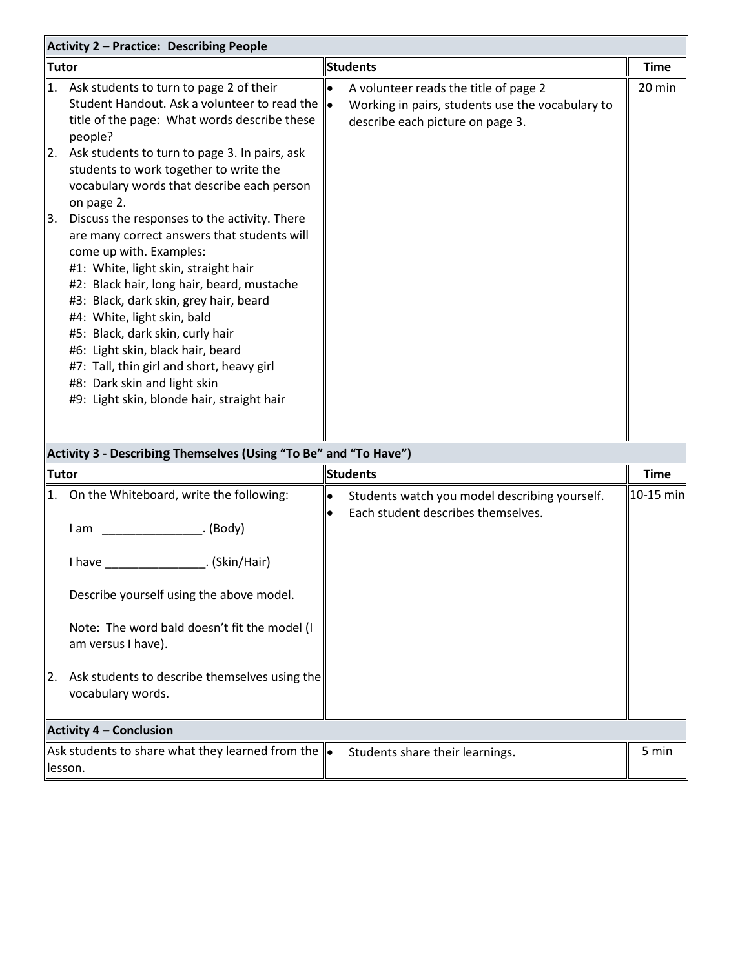| <b>Activity 2 - Practice: Describing People</b>                  |                                                                                                                                                                                                                                                                                                                                                                                                                                                                                           |                        |                                                                                                                               |             |  |
|------------------------------------------------------------------|-------------------------------------------------------------------------------------------------------------------------------------------------------------------------------------------------------------------------------------------------------------------------------------------------------------------------------------------------------------------------------------------------------------------------------------------------------------------------------------------|------------------------|-------------------------------------------------------------------------------------------------------------------------------|-------------|--|
| Tutor                                                            |                                                                                                                                                                                                                                                                                                                                                                                                                                                                                           | <b>Students</b>        |                                                                                                                               | <b>Time</b> |  |
| 1.                                                               | Ask students to turn to page 2 of their<br>Student Handout. Ask a volunteer to read the<br>title of the page: What words describe these<br>people?                                                                                                                                                                                                                                                                                                                                        |                        | A volunteer reads the title of page 2<br>Working in pairs, students use the vocabulary to<br>describe each picture on page 3. | 20 min      |  |
| 2.                                                               | Ask students to turn to page 3. In pairs, ask<br>students to work together to write the<br>vocabulary words that describe each person<br>on page 2.                                                                                                                                                                                                                                                                                                                                       |                        |                                                                                                                               |             |  |
| 3.                                                               | Discuss the responses to the activity. There<br>are many correct answers that students will<br>come up with. Examples:<br>#1: White, light skin, straight hair<br>#2: Black hair, long hair, beard, mustache<br>#3: Black, dark skin, grey hair, beard<br>#4: White, light skin, bald<br>#5: Black, dark skin, curly hair<br>#6: Light skin, black hair, beard<br>#7: Tall, thin girl and short, heavy girl<br>#8: Dark skin and light skin<br>#9: Light skin, blonde hair, straight hair |                        |                                                                                                                               |             |  |
| Activity 3 - Describing Themselves (Using "To Be" and "To Have") |                                                                                                                                                                                                                                                                                                                                                                                                                                                                                           |                        |                                                                                                                               |             |  |
| Tutor                                                            |                                                                                                                                                                                                                                                                                                                                                                                                                                                                                           |                        | <b>Students</b>                                                                                                               | <b>Time</b> |  |
| 1.                                                               | On the Whiteboard, write the following:<br>Describe yourself using the above model.<br>Note: The word bald doesn't fit the model (I<br>am versus I have).                                                                                                                                                                                                                                                                                                                                 | $\bullet$<br>$\bullet$ | Students watch you model describing yourself.<br>Each student describes themselves.                                           | 10-15 min   |  |
| 12.                                                              | Ask students to describe themselves using the<br>vocabulary words.                                                                                                                                                                                                                                                                                                                                                                                                                        |                        |                                                                                                                               |             |  |
|                                                                  | <b>Activity 4 - Conclusion</b>                                                                                                                                                                                                                                                                                                                                                                                                                                                            |                        |                                                                                                                               |             |  |
|                                                                  | $\parallel$ Ask students to share what they learned from the $\parallel\!\bullet$<br>lesson.                                                                                                                                                                                                                                                                                                                                                                                              |                        | Students share their learnings.                                                                                               | 5 min       |  |

lesson.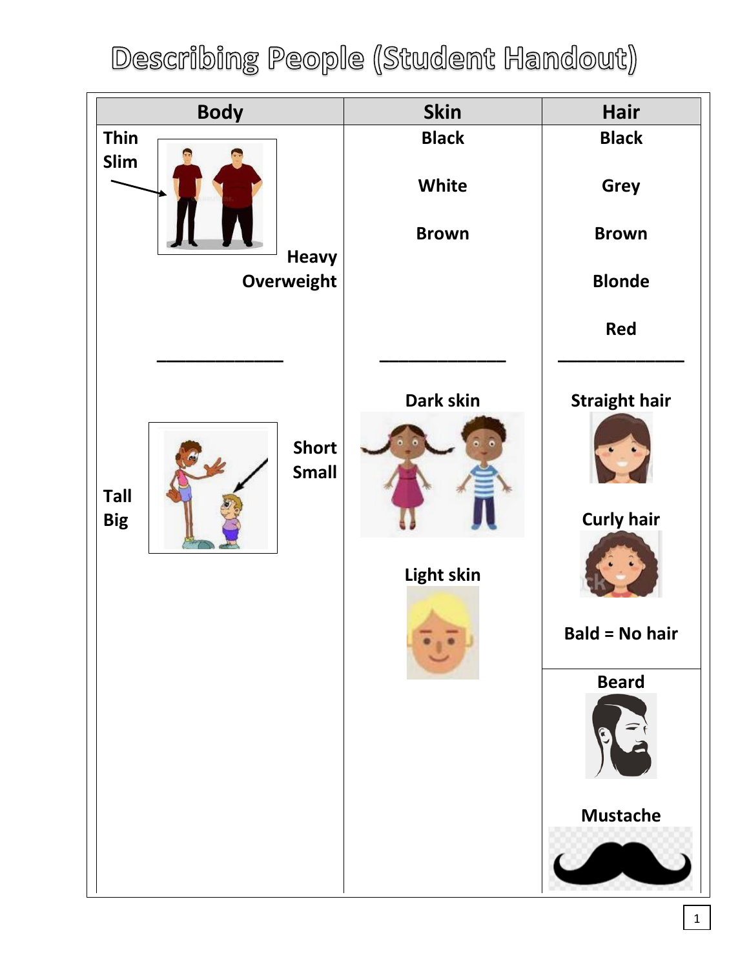## Describing People (Student Handout)

| <b>Body</b>                                               | <b>Skin</b>             | Hair                                                                                                  |
|-----------------------------------------------------------|-------------------------|-------------------------------------------------------------------------------------------------------|
| <b>Thin</b>                                               | <b>Black</b>            | <b>Black</b>                                                                                          |
| Slim                                                      | White                   | <b>Grey</b>                                                                                           |
| <b>Heavy</b>                                              | <b>Brown</b>            | <b>Brown</b>                                                                                          |
| Overweight                                                |                         | <b>Blonde</b>                                                                                         |
|                                                           |                         | <b>Red</b>                                                                                            |
| <b>Short</b><br><b>Small</b><br><b>Tall</b><br><b>Big</b> | Dark skin<br>Light skin | <b>Straight hair</b><br><b>Curly hair</b><br><b>Bald = No hair</b><br><b>Beard</b><br><b>Mustache</b> |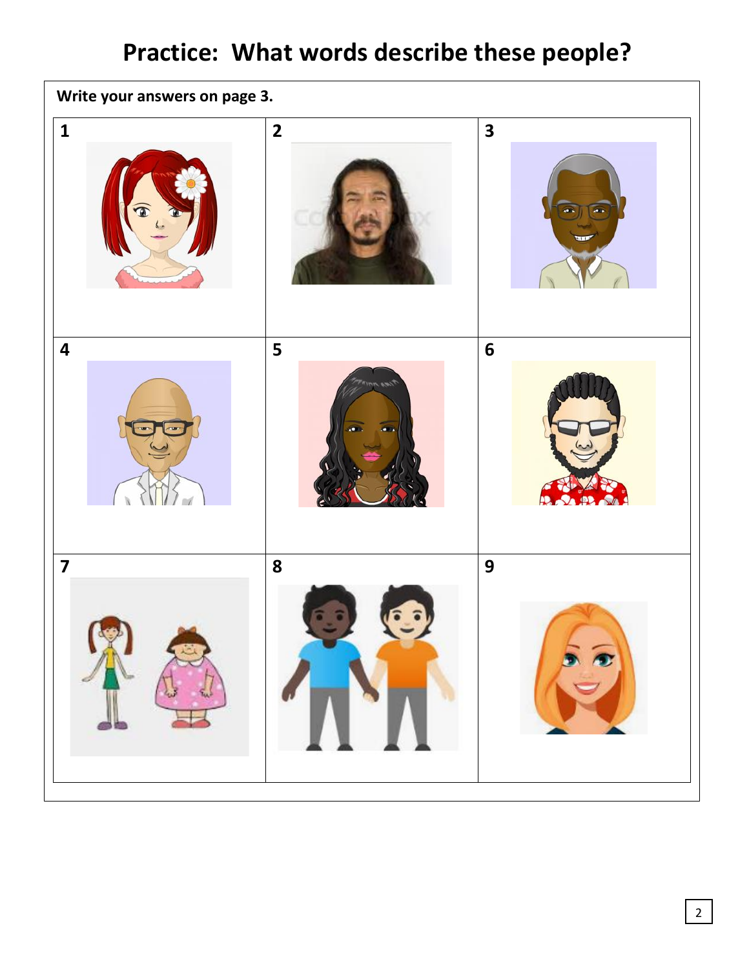## **Practice: What words describe these people?**

| Write your answers on page 3. |                         |                                               |  |  |  |  |  |
|-------------------------------|-------------------------|-----------------------------------------------|--|--|--|--|--|
| $\mathbf{1}$<br>Œ             | $\overline{\mathbf{2}}$ | $\overline{\mathbf{3}}$<br>o.<br>a,<br>$+11.$ |  |  |  |  |  |
| $\overline{\mathbf{4}}$       | 5<br><b>MAR 1777</b>    | $6\phantom{1}$                                |  |  |  |  |  |
| $\overline{\mathbf{z}}$       | 8                       | 9<br>$\widehat{\mathbf{r}}$                   |  |  |  |  |  |